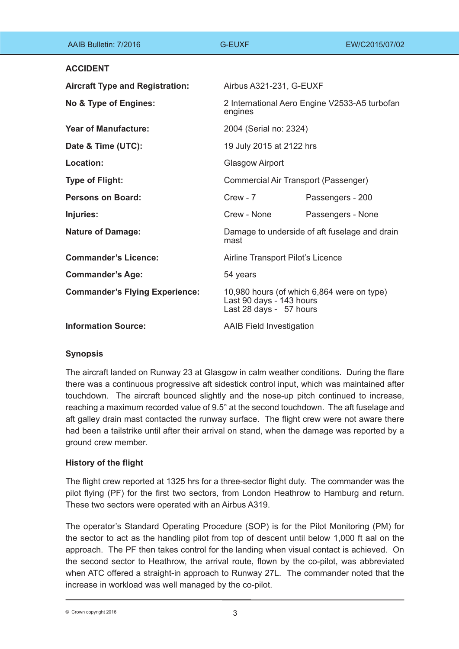| AAIB Bulletin: 7/2016                  | <b>G-EUXF</b>                                                                                     | EW/C2015/07/02    |
|----------------------------------------|---------------------------------------------------------------------------------------------------|-------------------|
| <b>ACCIDENT</b>                        |                                                                                                   |                   |
| <b>Aircraft Type and Registration:</b> | Airbus A321-231, G-EUXF                                                                           |                   |
| No & Type of Engines:                  | 2 International Aero Engine V2533-A5 turbofan<br>engines                                          |                   |
| <b>Year of Manufacture:</b>            | 2004 (Serial no: 2324)                                                                            |                   |
| Date & Time (UTC):                     | 19 July 2015 at 2122 hrs                                                                          |                   |
| Location:                              | <b>Glasgow Airport</b>                                                                            |                   |
| <b>Type of Flight:</b>                 | Commercial Air Transport (Passenger)                                                              |                   |
| <b>Persons on Board:</b>               | $Crew - 7$                                                                                        | Passengers - 200  |
| Injuries:                              | Crew - None                                                                                       | Passengers - None |
| <b>Nature of Damage:</b>               | Damage to underside of aft fuselage and drain<br>mast                                             |                   |
| <b>Commander's Licence:</b>            | Airline Transport Pilot's Licence                                                                 |                   |
| <b>Commander's Age:</b>                | 54 years                                                                                          |                   |
| <b>Commander's Flying Experience:</b>  | 10,980 hours (of which 6,864 were on type)<br>Last 90 days - 143 hours<br>Last 28 days - 57 hours |                   |
| <b>Information Source:</b>             | <b>AAIB Field Investigation</b>                                                                   |                   |

# **Synopsis**

The aircraft landed on Runway 23 at Glasgow in calm weather conditions. During the flare there was a continuous progressive aft sidestick control input, which was maintained after touchdown. The aircraft bounced slightly and the nose-up pitch continued to increase, reaching a maximum recorded value of 9.5° at the second touchdown. The aft fuselage and aft galley drain mast contacted the runway surface. The flight crew were not aware there had been a tailstrike until after their arrival on stand, when the damage was reported by a ground crew member.

# **History of the flight**

The flight crew reported at 1325 hrs for a three-sector flight duty. The commander was the pilot flying (PF) for the first two sectors, from London Heathrow to Hamburg and return. These two sectors were operated with an Airbus A319.

The operator's Standard Operating Procedure (SOP) is for the Pilot Monitoring (PM) for the sector to act as the handling pilot from top of descent until below 1,000 ft aal on the approach. The PF then takes control for the landing when visual contact is achieved. On the second sector to Heathrow, the arrival route, flown by the co-pilot, was abbreviated when ATC offered a straight-in approach to Runway 27L. The commander noted that the increase in workload was well managed by the co-pilot.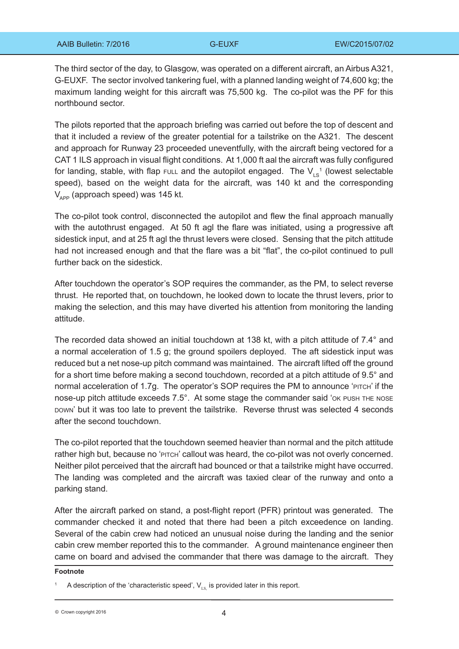The third sector of the day, to Glasgow, was operated on a different aircraft, an Airbus A321, G-EUXF. The sector involved tankering fuel, with a planned landing weight of 74,600 kg; the maximum landing weight for this aircraft was 75,500 kg. The co-pilot was the PF for this northbound sector.

The pilots reported that the approach briefing was carried out before the top of descent and that it included a review of the greater potential for a tailstrike on the A321. The descent and approach for Runway 23 proceeded uneventfully, with the aircraft being vectored for a CAT 1 ILS approach in visual flight conditions. At 1,000 ft aal the aircraft was fully configured for landing, stable, with flap FULL and the autopilot engaged. The  $V_{LS}^{-1}$  (lowest selectable speed), based on the weight data for the aircraft, was 140 kt and the corresponding  $V_{\text{app}}$  (approach speed) was 145 kt.

The co-pilot took control, disconnected the autopilot and flew the final approach manually with the autothrust engaged. At 50 ft agl the flare was initiated, using a progressive aft sidestick input, and at 25 ft agl the thrust levers were closed. Sensing that the pitch attitude had not increased enough and that the flare was a bit "flat", the co-pilot continued to pull further back on the sidestick.

After touchdown the operator's SOP requires the commander, as the PM, to select reverse thrust. He reported that, on touchdown, he looked down to locate the thrust levers, prior to making the selection, and this may have diverted his attention from monitoring the landing attitude.

The recorded data showed an initial touchdown at 138 kt, with a pitch attitude of 7.4° and a normal acceleration of 1.5 g; the ground spoilers deployed. The aft sidestick input was reduced but a net nose-up pitch command was maintained. The aircraft lifted off the ground for a short time before making a second touchdown, recorded at a pitch attitude of 9.5° and normal acceleration of 1.7g. The operator's SOP requires the PM to announce 'pitch' if the nose-up pitch attitude exceeds 7.5°. At some stage the commander said 'ok push the nose down' but it was too late to prevent the tailstrike. Reverse thrust was selected 4 seconds after the second touchdown.

The co-pilot reported that the touchdown seemed heavier than normal and the pitch attitude rather high but, because no 'pitch' callout was heard, the co-pilot was not overly concerned. Neither pilot perceived that the aircraft had bounced or that a tailstrike might have occurred. The landing was completed and the aircraft was taxied clear of the runway and onto a parking stand.

After the aircraft parked on stand, a post-flight report (PFR) printout was generated. The commander checked it and noted that there had been a pitch exceedence on landing. Several of the cabin crew had noticed an unusual noise during the landing and the senior cabin crew member reported this to the commander. A ground maintenance engineer then came on board and advised the commander that there was damage to the aircraft. They

#### **Footnote**

4 © Crown copyright 2016

A description of the 'characteristic speed',  $V_{\text{LS}}$  is provided later in this report.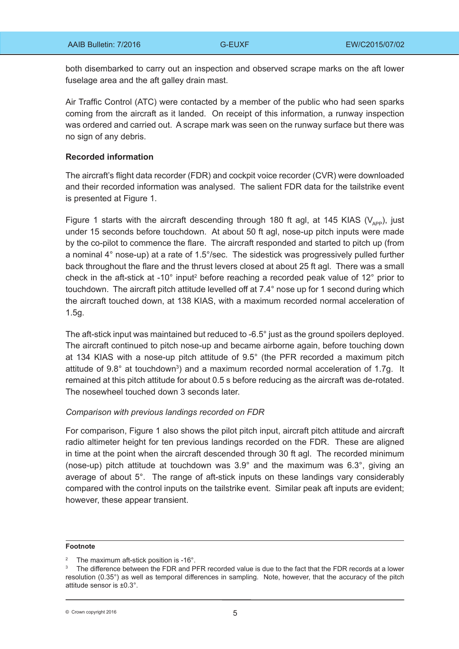both disembarked to carry out an inspection and observed scrape marks on the aft lower fuselage area and the aft galley drain mast.

Air Traffic Control (ATC) were contacted by a member of the public who had seen sparks coming from the aircraft as it landed. On receipt of this information, a runway inspection was ordered and carried out. A scrape mark was seen on the runway surface but there was no sign of any debris.

### **Recorded information**

The aircraft's flight data recorder (FDR) and cockpit voice recorder (CVR) were downloaded and their recorded information was analysed. The salient FDR data for the tailstrike event is presented at Figure 1.

Figure 1 starts with the aircraft descending through 180 ft agl, at 145 KIAS ( $V_{\text{app}}$ ), just under 15 seconds before touchdown. At about 50 ft agl, nose-up pitch inputs were made by the co-pilot to commence the flare. The aircraft responded and started to pitch up (from a nominal 4° nose-up) at a rate of 1.5°/sec. The sidestick was progressively pulled further back throughout the flare and the thrust levers closed at about 25 ft agl. There was a small check in the aft-stick at -10 $^{\circ}$  input<sup>2</sup> before reaching a recorded peak value of 12 $^{\circ}$  prior to touchdown. The aircraft pitch attitude levelled off at 7.4° nose up for 1 second during which the aircraft touched down, at 138 KIAS, with a maximum recorded normal acceleration of 1.5g.

The aft-stick input was maintained but reduced to -6.5° just as the ground spoilers deployed. The aircraft continued to pitch nose-up and became airborne again, before touching down at 134 KIAS with a nose-up pitch attitude of 9.5° (the PFR recorded a maximum pitch attitude of 9.8° at touchdown<sup>3</sup>) and a maximum recorded normal acceleration of 1.7g. It remained at this pitch attitude for about 0.5 s before reducing as the aircraft was de-rotated. The nosewheel touched down 3 seconds later.

#### *Comparison with previous landings recorded on FDR*

For comparison, Figure 1 also shows the pilot pitch input, aircraft pitch attitude and aircraft radio altimeter height for ten previous landings recorded on the FDR. These are aligned in time at the point when the aircraft descended through 30 ft agl. The recorded minimum (nose-up) pitch attitude at touchdown was 3.9° and the maximum was 6.3°, giving an average of about 5°. The range of aft-stick inputs on these landings vary considerably compared with the control inputs on the tailstrike event. Similar peak aft inputs are evident; however, these appear transient.

#### **Footnote**

<sup>&</sup>lt;sup>2</sup> The maximum aft-stick position is -16°.

<sup>&</sup>lt;sup>3</sup> The difference between the FDR and PFR recorded value is due to the fact that the FDR records at a lower resolution (0.35°) as well as temporal differences in sampling. Note, however, that the accuracy of the pitch attitude sensor is ±0.3°.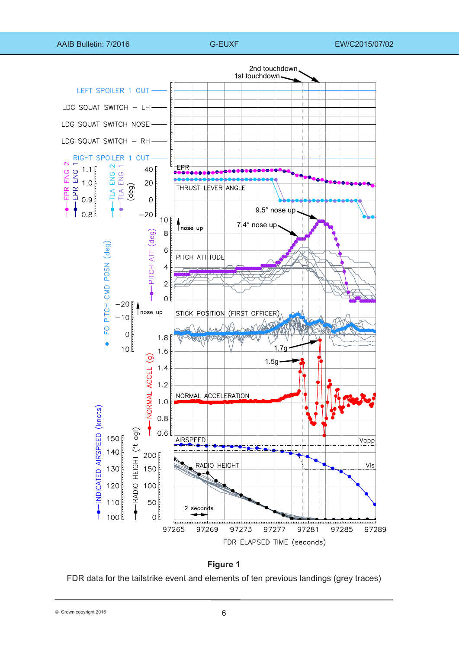

**Figure 1**

FDR data for the tailstrike event and elements of ten previous landings (grey traces)

6 © Crown copyright 2016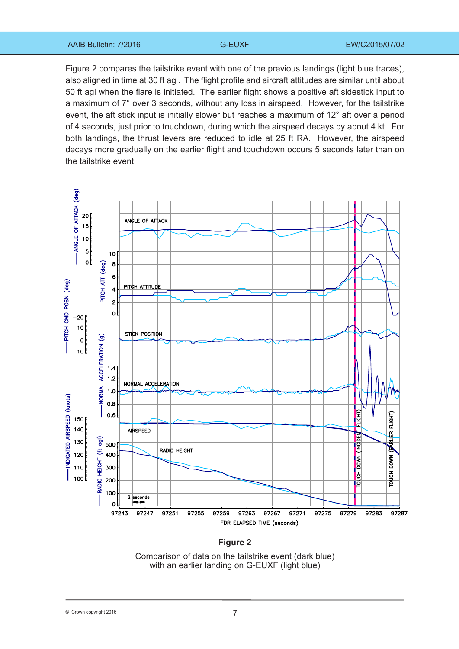Figure 2 compares the tailstrike event with one of the previous landings (light blue traces), also aligned in time at 30 ft agl. The flight profile and aircraft attitudes are similar until about 50 ft agl when the flare is initiated. The earlier flight shows a positive aft sidestick input to a maximum of 7° over 3 seconds, without any loss in airspeed. However, for the tailstrike event, the aft stick input is initially slower but reaches a maximum of 12° aft over a period of 4 seconds, just prior to touchdown, during which the airspeed decays by about 4 kt. For both landings, the thrust levers are reduced to idle at 25 ft RA. However, the airspeed decays more gradually on the earlier flight and touchdown occurs 5 seconds later than on the tailstrike event.



**Figure 2**

Comparison of data on the tailstrike event (dark blue) with an earlier landing on G-EUXF (light blue)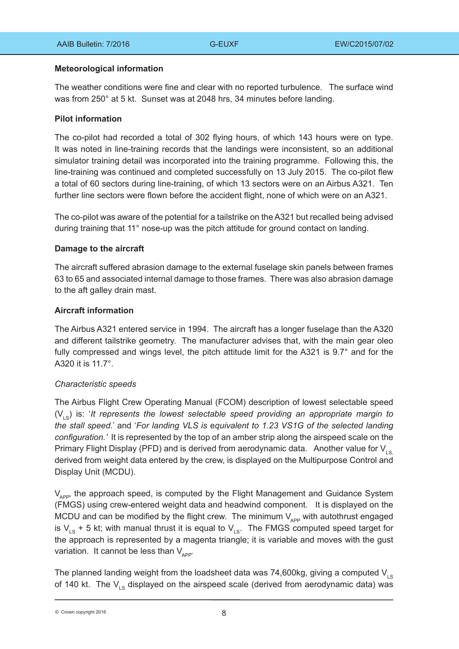## **Meteorological information**

The weather conditions were fine and clear with no reported turbulence. The surface wind was from 250° at 5 kt. Sunset was at 2048 hrs, 34 minutes before landing.

# **Pilot information**

The co-pilot had recorded a total of 302 flying hours, of which 143 hours were on type. It was noted in line-training records that the landings were inconsistent, so an additional simulator training detail was incorporated into the training programme. Following this, the line-training was continued and completed successfully on 13 July 2015. The co-pilot flew a total of 60 sectors during line-training, of which 13 sectors were on an Airbus A321. Ten further line sectors were flown before the accident flight, none of which were on an A321.

The co-pilot was aware of the potential for a tailstrike on the A321 but recalled being advised during training that 11° nose-up was the pitch attitude for ground contact on landing.

## **Damage to the aircraft**

The aircraft suffered abrasion damage to the external fuselage skin panels between frames 63 to 65 and associated internal damage to those frames. There was also abrasion damage to the aft galley drain mast.

## **Aircraft information**

The Airbus A321 entered service in 1994. The aircraft has a longer fuselage than the A320 and different tailstrike geometry. The manufacturer advises that, with the main gear oleo fully compressed and wings level, the pitch attitude limit for the A321 is 9.7° and for the A320 it is 11.7°.

# *Characteristic speeds*

The Airbus Flight Crew Operating Manual (FCOM) description of lowest selectable speed  $(V_{\text{Ls}})$  is: '*It represents the lowest selectable speed providing an appropriate margin to the stall speed.*' and '*For landing VLS is* e*quivalent to 1.23 VS1G of the selected landing configuration.'* It is represented by the top of an amber strip along the airspeed scale on the Primary Flight Display (PFD) and is derived from aerodynamic data. Another value for  $V_{\text{Ls}}$ derived from weight data entered by the crew, is displayed on the Multipurpose Control and Display Unit (MCDU).

 $V_{\text{app}}$ , the approach speed, is computed by the Flight Management and Guidance System (FMGS) using crew-entered weight data and headwind component. It is displayed on the MCDU and can be modified by the flight crew. The minimum  $V_{APP}$  with autothrust engaged is  $V_{LS}$  + 5 kt; with manual thrust it is equal to  $V_{LS}$ . The FMGS computed speed target for the approach is represented by a magenta triangle; it is variable and moves with the gust variation. It cannot be less than  $V_{APP}$ .

The planned landing weight from the loadsheet data was 74,600kg, giving a computed  $V_{\text{L}}$ of 140 kt. The  $V_{\text{LS}}$  displayed on the airspeed scale (derived from aerodynamic data) was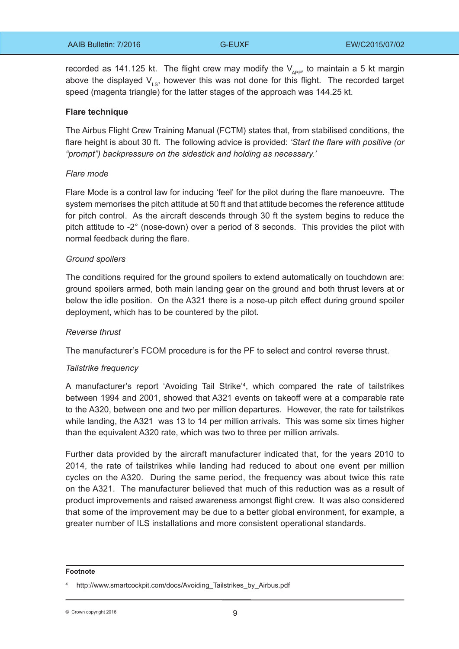recorded as 141.125 kt. The flight crew may modify the  $V_{APP}$ , to maintain a 5 kt margin above the displayed  $V_{\text{tot}}$ , however this was not done for this flight. The recorded target speed (magenta triangle) for the latter stages of the approach was 144.25 kt.

### **Flare technique**

The Airbus Flight Crew Training Manual (FCTM) states that, from stabilised conditions, the flare height is about 30 ft. The following advice is provided: *'Start the flare with positive (or "prompt") backpressure on the sidestick and holding as necessary.'*

### *Flare mode*

Flare Mode is a control law for inducing 'feel' for the pilot during the flare manoeuvre. The system memorises the pitch attitude at 50 ft and that attitude becomes the reference attitude for pitch control. As the aircraft descends through 30 ft the system begins to reduce the pitch attitude to -2° (nose-down) over a period of 8 seconds. This provides the pilot with normal feedback during the flare.

### *Ground spoilers*

The conditions required for the ground spoilers to extend automatically on touchdown are: ground spoilers armed, both main landing gear on the ground and both thrust levers at or below the idle position. On the A321 there is a nose-up pitch effect during ground spoiler deployment, which has to be countered by the pilot.

### *Reverse thrust*

The manufacturer's FCOM procedure is for the PF to select and control reverse thrust.

### *Tailstrike frequency*

A manufacturer's report 'Avoiding Tail Strike'4 , which compared the rate of tailstrikes between 1994 and 2001, showed that A321 events on takeoff were at a comparable rate to the A320, between one and two per million departures. However, the rate for tailstrikes while landing, the A321 was 13 to 14 per million arrivals. This was some six times higher than the equivalent A320 rate, which was two to three per million arrivals.

Further data provided by the aircraft manufacturer indicated that, for the years 2010 to 2014, the rate of tailstrikes while landing had reduced to about one event per million cycles on the A320. During the same period, the frequency was about twice this rate on the A321. The manufacturer believed that much of this reduction was as a result of product improvements and raised awareness amongst flight crew. It was also considered that some of the improvement may be due to a better global environment, for example, a greater number of ILS installations and more consistent operational standards.

#### **Footnote**

© Crown copyright 2016 **9** 

http://www.smartcockpit.com/docs/Avoiding\_Tailstrikes\_by\_Airbus.pdf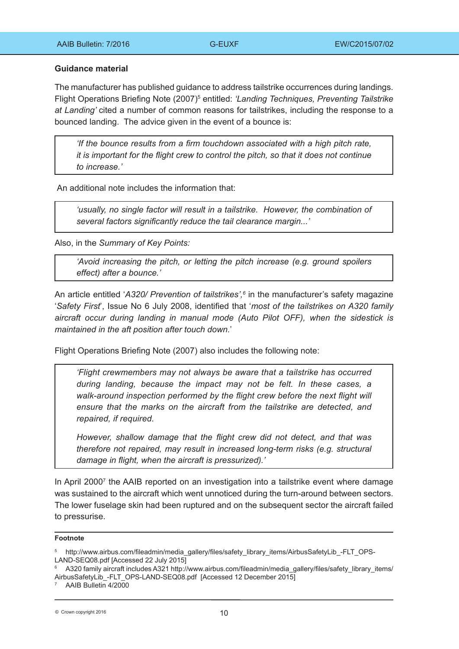# **Guidance material**

The manufacturer has published guidance to address tailstrike occurrences during landings. Flight Operations Briefing Note (2007)<sup>5</sup> entitled: 'Landing Techniques, Preventing Tailstrike *at Landing'* cited a number of common reasons for tailstrikes, including the response to a bounced landing. The advice given in the event of a bounce is:

*'If the bounce results from a firm touchdown associated with a high pitch rate, it is important for the flight crew to control the pitch, so that it does not continue to increase.'* 

An additional note includes the information that:

*'usually, no single factor will result in a tailstrike. However, the combination of several factors significantly reduce the tail clearance margin...'* 

Also, in the *Summary of Key Points:* 

*'Avoid increasing the pitch, or letting the pitch increase (e.g. ground spoilers effect) after a bounce.'*

An article entitled '*A320/ Prevention of tailstrikes',<sup>6</sup>* in the manufacturer's safety magazine '*Safety First*', Issue No 6 July 2008, identified that '*most of the tailstrikes on A320 family aircraft occur during landing in manual mode (Auto Pilot OFF), when the sidestick is maintained in the aft position after touch down.*'

Flight Operations Briefing Note (2007) also includes the following note:

*'Flight crewmembers may not always be aware that a tailstrike has occurred during landing, because the impact may not be felt. In these cases, a walk‑around inspection performed by the flight crew before the next flight will ensure that the marks on the aircraft from the tailstrike are detected, and repaired, if required.*

*However, shallow damage that the flight crew did not detect, and that was therefore not repaired, may result in increased long-term risks (e.g. structural damage in flight, when the aircraft is pressurized).'*

In April 2000<sup>7</sup> the AAIB reported on an investigation into a tailstrike event where damage was sustained to the aircraft which went unnoticed during the turn-around between sectors. The lower fuselage skin had been ruptured and on the subsequent sector the aircraft failed to pressurise.

#### **Footnote**

<sup>5</sup> http://www.airbus.com/fileadmin/media\_gallery/files/safety\_library\_items/AirbusSafetyLib\_-FLT\_OPS-LAND-SEQ08.pdf [Accessed 22 July 2015]

A320 family aircraft includes A321 http://www.airbus.com/fileadmin/media\_gallery/files/safety\_library\_items/ AirbusSafetyLib\_-FLT\_OPS-LAND-SEQ08.pdf [Accessed 12 December 2015] 7 AAIB Bulletin 4/2000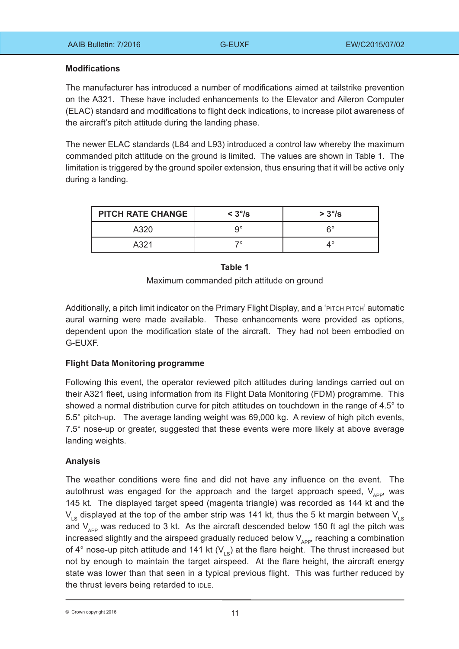## **Modifications**

The manufacturer has introduced a number of modifications aimed at tailstrike prevention on the A321. These have included enhancements to the Elevator and Aileron Computer (ELAC) standard and modifications to flight deck indications, to increase pilot awareness of the aircraft's pitch attitude during the landing phase.

The newer ELAC standards (L84 and L93) introduced a control law whereby the maximum commanded pitch attitude on the ground is limited. The values are shown in Table 1. The limitation is triggered by the ground spoiler extension, thus ensuring that it will be active only during a landing.

| <b>PITCH RATE CHANGE</b> | $<$ 3 $\degree$ /s | $>3^{\circ}/s$ |
|--------------------------|--------------------|----------------|
| A320                     | °0                 | R°             |
| A321                     | ⇁◦                 |                |

# **Table 1**

Maximum commanded pitch attitude on ground

Additionally, a pitch limit indicator on the Primary Flight Display, and a 'PITCH PITCH' automatic aural warning were made available. These enhancements were provided as options, dependent upon the modification state of the aircraft. They had not been embodied on G-EUXF.

# **Flight Data Monitoring programme**

Following this event, the operator reviewed pitch attitudes during landings carried out on their A321 fleet, using information from its Flight Data Monitoring (FDM) programme. This showed a normal distribution curve for pitch attitudes on touchdown in the range of 4.5° to 5.5° pitch-up. The average landing weight was 69,000 kg. A review of high pitch events, 7.5° nose-up or greater, suggested that these events were more likely at above average landing weights.

# **Analysis**

The weather conditions were fine and did not have any influence on the event. The autothrust was engaged for the approach and the target approach speed,  $V_{APP}$ , was 145 kt. The displayed target speed (magenta triangle) was recorded as 144 kt and the  $V_{LS}$  displayed at the top of the amber strip was 141 kt, thus the 5 kt margin between  $V_{LS}$ and  $V_{APP}$  was reduced to 3 kt. As the aircraft descended below 150 ft agl the pitch was increased slightly and the airspeed gradually reduced below  $V_{\text{app}}$ , reaching a combination of 4 $\degree$  nose-up pitch attitude and 141 kt (V<sub>LS</sub>) at the flare height. The thrust increased but not by enough to maintain the target airspeed. At the flare height, the aircraft energy state was lower than that seen in a typical previous flight. This was further reduced by the thrust levers being retarded to IDLE.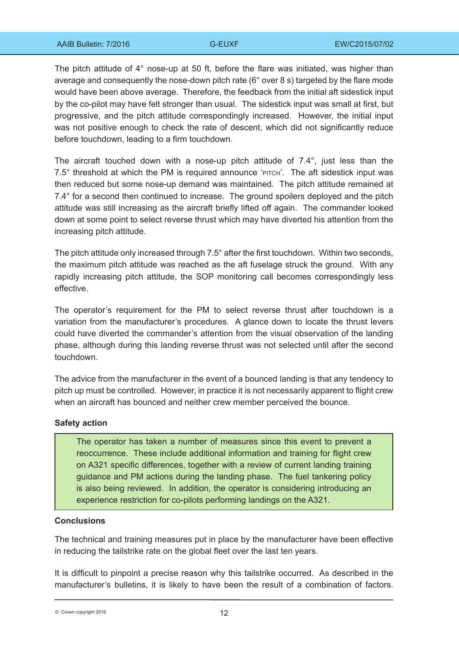The pitch attitude of 4° nose-up at 50 ft, before the flare was initiated, was higher than average and consequently the nose-down pitch rate (6° over 8 s) targeted by the flare mode would have been above average. Therefore, the feedback from the initial aft sidestick input by the co-pilot may have felt stronger than usual. The sidestick input was small at first, but progressive, and the pitch attitude correspondingly increased. However, the initial input was not positive enough to check the rate of descent, which did not significantly reduce before touchdown, leading to a firm touchdown.

The aircraft touched down with a nose-up pitch attitude of 7.4°, just less than the 7.5° threshold at which the PM is required announce 'PITCH'. The aft sidestick input was then reduced but some nose-up demand was maintained. The pitch attitude remained at 7.4° for a second then continued to increase. The ground spoilers deployed and the pitch attitude was still increasing as the aircraft briefly lifted off again. The commander looked down at some point to select reverse thrust which may have diverted his attention from the increasing pitch attitude.

The pitch attitude only increased through 7.5° after the first touchdown. Within two seconds, the maximum pitch attitude was reached as the aft fuselage struck the ground. With any rapidly increasing pitch attitude, the SOP monitoring call becomes correspondingly less effective.

The operator's requirement for the PM to select reverse thrust after touchdown is a variation from the manufacturer's procedures. A glance down to locate the thrust levers could have diverted the commander's attention from the visual observation of the landing phase, although during this landing reverse thrust was not selected until after the second touchdown.

The advice from the manufacturer in the event of a bounced landing is that any tendency to pitch up must be controlled. However, in practice it is not necessarily apparent to flight crew when an aircraft has bounced and neither crew member perceived the bounce.

### **Safety action**

The operator has taken a number of measures since this event to prevent a reoccurrence. These include additional information and training for flight crew on A321 specific differences, together with a review of current landing training guidance and PM actions during the landing phase. The fuel tankering policy is also being reviewed. In addition, the operator is considering introducing an experience restriction for co-pilots performing landings on the A321.

## **Conclusions**

The technical and training measures put in place by the manufacturer have been effective in reducing the tailstrike rate on the global fleet over the last ten years.

It is difficult to pinpoint a precise reason why this tailstrike occurred. As described in the manufacturer's bulletins, it is likely to have been the result of a combination of factors.